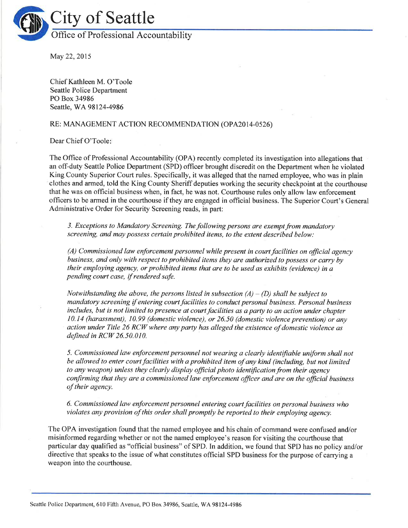

May 22, 2015

Chief Kathleen M. O'Toole Seattle Police Department PO Box 34986 Seattle, WA98l24-4986

## RE: MANAGEMENT ACTION RECOMMENDATION (OPA2014-0526)

Dear Chief O'Toole

The Office of Professional Accountability (OPA) recently completed its investigation into allegations that an off-duty Seattle Police Department (SPD) officer brought discredit on the Department when he violated King County Superior Court rules. Specifically, it was alleged that the named employee, who was in plain clothes and armed, told the King County Sheriff deputies working the security checkpoint at the courthouse that he was on official business when, in fact, he was not. Courthouse rules only allow law enforcement offìcers to be armed in the courthouse if they are engaged in official business. The Superior Court's General Administrative Order for Security Screening reads, in part:

3. Exceptions to Mandatory Screening. The following persons are exempt from mandatory screening, and may possess certain prohibited items, to the extent described below:

 $(A)$  Commissioned law enforcement personnel while present in court facilities on official agency business, and only with respect to prohibited items they are authorized to possess or carry by their employing agency, or prohibited items that are to be used as exhibits (evidence) in a pending court case, if rendered safe.

Notwithstanding the above, the persons listed in subsection  $(A) - (D)$  shall be subject to mandatory screening if entering court facilities to conduct personal business. Personal business includes, but is not limited to presence at court facilities as a party to an action under chapter 10.14 (harassment), 10.99 (domestic violence), or 26.50 (domestic violence prevention) or any action under Title 26 RCW where any party has alleged the existence of domestic violence as defined in RCW 26.50.010.

5. Commissioned law enforcement personnel not wearing a clearly identifiable uniform shall not be allowed to enter court facilities with a prohibited item of any kind (including, but not limited to any weapon) unless they clearly display official photo identification from their agency confirming that they are a commissioned law enforcement officer and are on the official business of their agency.

6. Commissioned law enforcement personnel entering court facilities on personal business who violates any provision of this order shall promptly be reported to their employing agency.

The OPA investigation found that the named employee and his chain of command were confused and/or misinformed regarding whether or not the named employee's reason for visiting the courthouse that particular day qualified as "official business" of SPD. In addition, we found that SPD has no policy and/or directive that speaks to the issue of what constitutes official SPD business for the purpose of carrying a weapon into the courthouse.